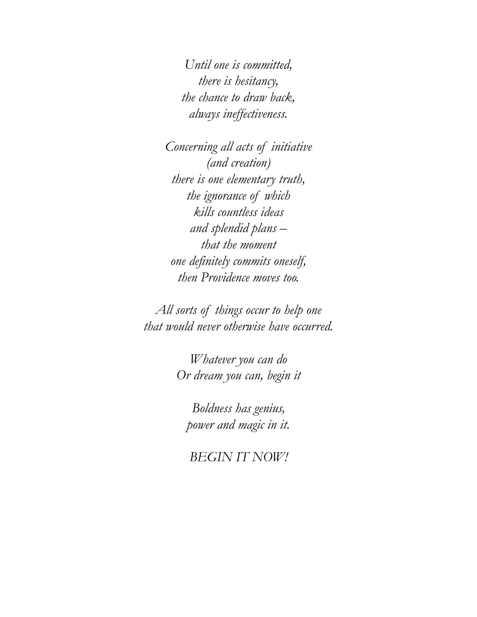*Until one is committed, there is hesitancy, the chance to draw back, always ineffectiveness.* 

*Concerning all acts of initiative (and creation) there is one elementary truth, the ignorance of which kills countless ideas and splendid plans – that the moment one definitely commits oneself, then Providence moves too.* 

*All sorts of things occur to help one that would never otherwise have occurred.* 

> *Whatever you can do Or dream you can, begin it*

*Boldness has genius, power and magic in it.* 

*BEGIN IT NOW!*